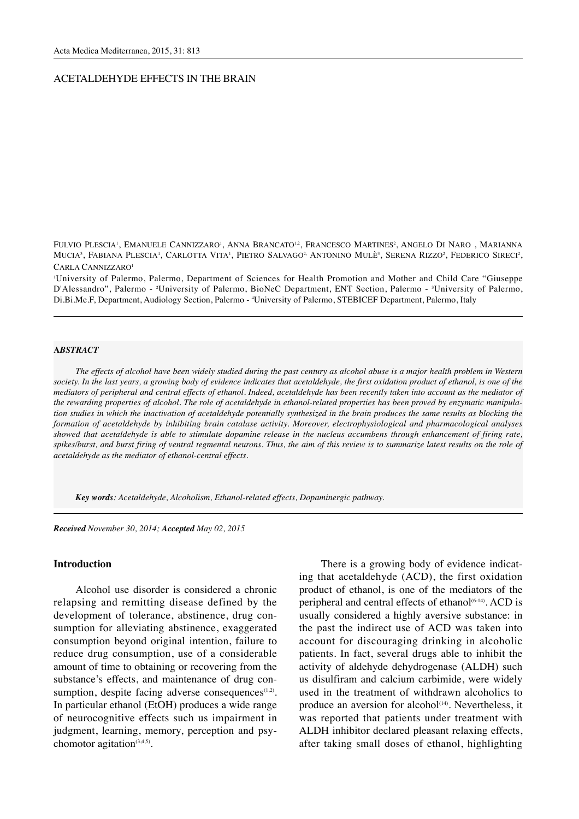## ACETALDEHYDE EFFECTS IN THE BRAIN

FULVIO PLESCIA', EMANUELE CANNIZZARO', ANNA BRANCATO'<sup>2</sup>, FRANCESCO MARTINES<sup>2</sup>, ANGELO DI NARO , MARIANNA MUCIA<sup>3</sup>, FABIANA PLESCIA<sup>4</sup>, CARLOTTA VITA<sup>1</sup>, PIETRO SALVAGO<sup>2,</sup> ANTONINO MULÈ<sup>3</sup>, SERENA RIZZO<sup>2</sup>, FEDERICO SIRECI<sup>2</sup>, CARLA CANNIZZARO1

1 University of Palermo, Palermo, Department of Sciences for Health Promotion and Mother and Child Care "Giuseppe D'Alessandro", Palermo - 2 University of Palermo, BioNeC Department, ENT Section, Palermo - 3 University of Palermo, Di.Bi.Me.F, Department, Audiology Section, Palermo - 4 University of Palermo, STEBICEF Department, Palermo, Italy

#### **A***BSTRACT*

*The effects of alcohol have been widely studied during the past century as alcohol abuse is a major health problem in Western society. In the last years, a growing body of evidence indicates that acetaldehyde, the first oxidation product of ethanol, is one of the mediators of peripheral and central effects of ethanol. Indeed, acetaldehyde has been recently taken into account as the mediator of the rewarding properties of alcohol. The role of acetaldehyde in ethanol-related properties has been proved by enzymatic manipulation studies in which the inactivation of acetaldehyde potentially synthesized in the brain produces the same results as blocking the formation of acetaldehyde by inhibiting brain catalase activity. Moreover, electrophysiological and pharmacological analyses showed that acetaldehyde is able to stimulate dopamine release in the nucleus accumbens through enhancement of firing rate, spikes/burst, and burst firing of ventral tegmental neurons. Thus, the aim of this review is to summarize latest results on the role of acetaldehyde as the mediator of ethanol-central effects.*

*Key words: Acetaldehyde, Alcoholism, Ethanol-related effects, Dopaminergic pathway.*

*Received November 30, 2014; Accepted May 02, 2015*

# **Introduction**

Alcohol use disorder is considered a chronic relapsing and remitting disease defined by the development of tolerance, abstinence, drug consumption for alleviating abstinence, exaggerated consumption beyond original intention, failure to reduce drug consumption, use of a considerable amount of time to obtaining or recovering from the substance's effects, and maintenance of drug consumption, despite facing adverse consequences $(1,2)$ . In particular ethanol (EtOH) produces a wide range of neurocognitive effects such us impairment in judgment, learning, memory, perception and psychomotor agitation $(3,4,5)$ .

There is a growing body of evidence indicating that acetaldehyde (ACD), the first oxidation product of ethanol, is one of the mediators of the peripheral and central effects of ethanol<sup> $(6-14)$ </sup>. ACD is usually considered a highly aversive substance: in the past the indirect use of ACD was taken into account for discouraging drinking in alcoholic patients. In fact, several drugs able to inhibit the activity of aldehyde dehydrogenase (ALDH) such us disulfiram and calcium carbimide, were widely used in the treatment of withdrawn alcoholics to produce an aversion for alcohol<sup>(14)</sup>. Nevertheless, it was reported that patients under treatment with ALDH inhibitor declared pleasant relaxing effects, after taking small doses of ethanol, highlighting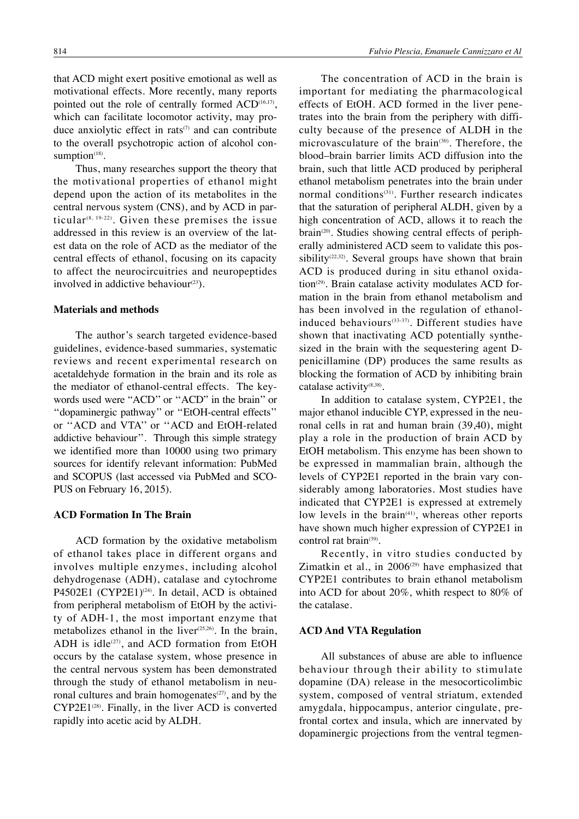that ACD might exert positive emotional as well as motivational effects. More recently, many reports pointed out the role of centrally formed ACD<sup>(16,17)</sup>, which can facilitate locomotor activity, may produce anxiolytic effect in rats $(7)$  and can contribute to the overall psychotropic action of alcohol consumption $(18)$ .

Thus, many researches support the theory that the motivational properties of ethanol might depend upon the action of its metabolites in the central nervous system (CNS), and by ACD in particular<sup>(8, 19-22)</sup>. Given these premises the issue addressed in this review is an overview of the latest data on the role of ACD as the mediator of the central effects of ethanol, focusing on its capacity to affect the neurocircuitries and neuropeptides involved in addictive behaviour $(23)$ .

## **Materials and methods**

The author's search targeted evidence-based guidelines, evidence-based summaries, systematic reviews and recent experimental research on acetaldehyde formation in the brain and its role as the mediator of ethanol-central effects. The keywords used were "ACD'' or ''ACD" in the brain'' or ''dopaminergic pathway'' or ''EtOH-central effects'' or ''ACD and VTA'' or ''ACD and EtOH-related addictive behaviour''. Through this simple strategy we identified more than 10000 using two primary sources for identify relevant information: PubMed and SCOPUS (last accessed via PubMed and SCO-PUS on February 16, 2015).

## **ACD Formation In The Brain**

ACD formation by the oxidative metabolism of ethanol takes place in different organs and involves multiple enzymes, including alcohol dehydrogenase (ADH), catalase and cytochrome P4502E1 (CYP2E1)<sup>(24)</sup>. In detail, ACD is obtained from peripheral metabolism of EtOH by the activity of ADH-1, the most important enzyme that metabolizes ethanol in the liver $(25,26)$ . In the brain, ADH is idle $(27)$ , and ACD formation from EtOH occurs by the catalase system, whose presence in the central nervous system has been demonstrated through the study of ethanol metabolism in neuronal cultures and brain homogenates $(27)$ , and by the  $CYP2E1^{(28)}$ . Finally, in the liver ACD is converted rapidly into acetic acid by ALDH.

The concentration of ACD in the brain is important for mediating the pharmacological effects of EtOH. ACD formed in the liver penetrates into the brain from the periphery with difficulty because of the presence of ALDH in the microvasculature of the brain<sup>(30)</sup>. Therefore, the blood–brain barrier limits ACD diffusion into the brain, such that little ACD produced by peripheral ethanol metabolism penetrates into the brain under normal conditions<sup>(31)</sup>. Further research indicates that the saturation of peripheral ALDH, given by a high concentration of ACD, allows it to reach the brain<sup>(20)</sup>. Studies showing central effects of peripherally administered ACD seem to validate this possibility<sup> $(22,32)$ </sup>. Several groups have shown that brain ACD is produced during in situ ethanol oxidation<sup>(29)</sup>. Brain catalase activity modulates ACD formation in the brain from ethanol metabolism and has been involved in the regulation of ethanolinduced behaviours<sup>(33-37)</sup>. Different studies have shown that inactivating ACD potentially synthesized in the brain with the sequestering agent Dpenicillamine (DP) produces the same results as blocking the formation of ACD by inhibiting brain catalase activity<sup>(8,38)</sup>.

In addition to catalase system, CYP2E1, the major ethanol inducible CYP, expressed in the neuronal cells in rat and human brain (39,40), might play a role in the production of brain ACD by EtOH metabolism. This enzyme has been shown to be expressed in mammalian brain, although the levels of CYP2E1 reported in the brain vary considerably among laboratories. Most studies have indicated that CYP2E1 is expressed at extremely low levels in the brain<sup>(41)</sup>, whereas other reports have shown much higher expression of CYP2E1 in control rat brain<sup>(39)</sup>.

Recently, in vitro studies conducted by Zimatkin et al., in  $2006^{\text{(29)}}$  have emphasized that CYP2E1 contributes to brain ethanol metabolism into ACD for about 20%, whith respect to 80% of the catalase.

#### **ACD And VTA Regulation**

All substances of abuse are able to influence behaviour through their ability to stimulate dopamine (DA) release in the mesocorticolimbic system, composed of ventral striatum, extended amygdala, hippocampus, anterior cingulate, prefrontal cortex and insula, which are innervated by dopaminergic projections from the ventral tegmen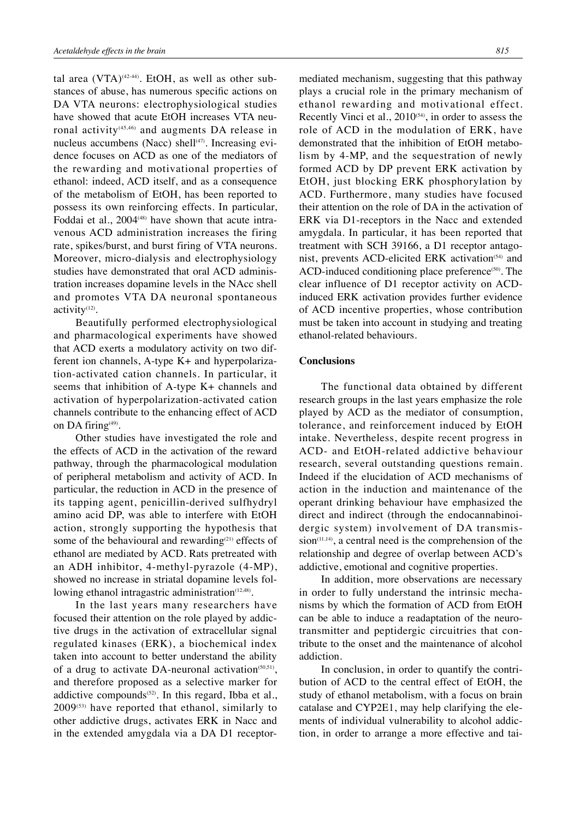tal area  $(VTA)^{(42.44)}$ . EtOH, as well as other substances of abuse, has numerous specific actions on DA VTA neurons: electrophysiological studies have showed that acute EtOH increases VTA neuronal activity<sup>(45,46)</sup> and augments DA release in nucleus accumbens (Nacc) shell<sup>(47)</sup>. Increasing evidence focuses on ACD as one of the mediators of the rewarding and motivational properties of ethanol: indeed, ACD itself, and as a consequence of the metabolism of EtOH, has been reported to possess its own reinforcing effects. In particular, Foddai et al.,  $2004(48)$  have shown that acute intravenous ACD administration increases the firing rate, spikes/burst, and burst firing of VTA neurons. Moreover, micro-dialysis and electrophysiology studies have demonstrated that oral ACD administration increases dopamine levels in the NAcc shell and promotes VTA DA neuronal spontaneous activity<sup>(12)</sup>.

Beautifully performed electrophysiological and pharmacological experiments have showed that ACD exerts a modulatory activity on two different ion channels, A-type K+ and hyperpolarization-activated cation channels. In particular, it seems that inhibition of A-type K+ channels and activation of hyperpolarization-activated cation channels contribute to the enhancing effect of ACD on DA firing $(49)$ .

Other studies have investigated the role and the effects of ACD in the activation of the reward pathway, through the pharmacological modulation of peripheral metabolism and activity of ACD. In particular, the reduction in ACD in the presence of its tapping agent, penicillin-derived sulfhydryl amino acid DP, was able to interfere with EtOH action, strongly supporting the hypothesis that some of the behavioural and rewarding<sup>(21)</sup> effects of ethanol are mediated by ACD. Rats pretreated with an ADH inhibitor, 4-methyl-pyrazole (4-MP), showed no increase in striatal dopamine levels following ethanol intragastric administration $(12,48)$ .

In the last years many researchers have focused their attention on the role played by addictive drugs in the activation of extracellular signal regulated kinases (ERK), a biochemical index taken into account to better understand the ability of a drug to activate DA-neuronal activation $(50,51)$ , and therefore proposed as a selective marker for addictive compounds $(52)$ . In this regard, Ibba et al.,  $2009^{(53)}$  have reported that ethanol, similarly to other addictive drugs, activates ERK in Nacc and in the extended amygdala via a DA D1 receptor-

mediated mechanism, suggesting that this pathway plays a crucial role in the primary mechanism of ethanol rewarding and motivational effect. Recently Vinci et al.,  $2010^{(54)}$ , in order to assess the role of ACD in the modulation of ERK, have demonstrated that the inhibition of EtOH metabolism by 4-MP, and the sequestration of newly formed ACD by DP prevent ERK activation by EtOH, just blocking ERK phosphorylation by ACD. Furthermore, many studies have focused their attention on the role of DA in the activation of ERK via D1-receptors in the Nacc and extended amygdala. In particular, it has been reported that treatment with SCH 39166, a D1 receptor antagonist, prevents ACD-elicited ERK activation $(54)$  and ACD-induced conditioning place preference<sup>(50)</sup>. The clear influence of D1 receptor activity on ACDinduced ERK activation provides further evidence of ACD incentive properties, whose contribution must be taken into account in studying and treating ethanol-related behaviours.

# **Conclusions**

The functional data obtained by different research groups in the last years emphasize the role played by ACD as the mediator of consumption, tolerance, and reinforcement induced by EtOH intake. Nevertheless, despite recent progress in ACD- and EtOH-related addictive behaviour research, several outstanding questions remain. Indeed if the elucidation of ACD mechanisms of action in the induction and maintenance of the operant drinking behaviour have emphasized the direct and indirect (through the endocannabinoidergic system) involvement of DA transmis $sion$ <sup> $(11,14)$ </sup>, a central need is the comprehension of the relationship and degree of overlap between ACD's addictive, emotional and cognitive properties.

In addition, more observations are necessary in order to fully understand the intrinsic mechanisms by which the formation of ACD from EtOH can be able to induce a readaptation of the neurotransmitter and peptidergic circuitries that contribute to the onset and the maintenance of alcohol addiction.

In conclusion, in order to quantify the contribution of ACD to the central effect of EtOH, the study of ethanol metabolism, with a focus on brain catalase and CYP2E1, may help clarifying the elements of individual vulnerability to alcohol addiction, in order to arrange a more effective and tai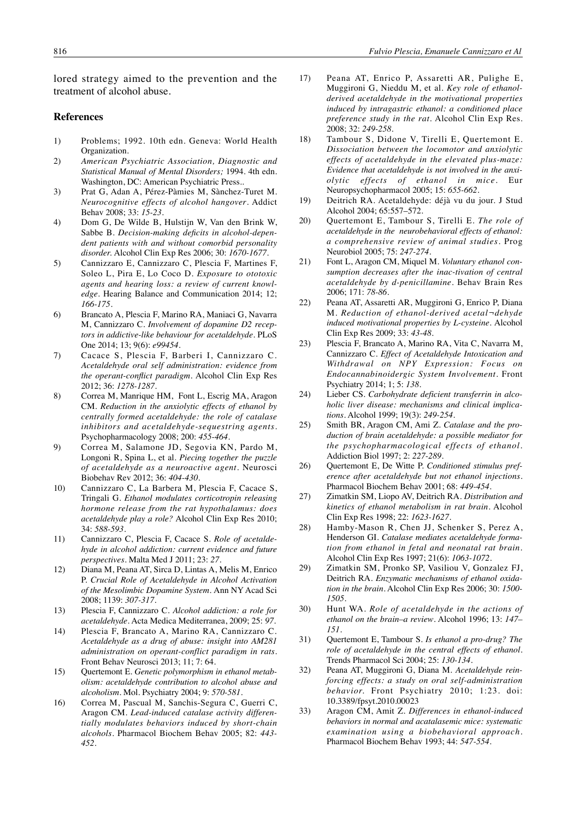lored strategy aimed to the prevention and the treatment of alcohol abuse.

## **References**

- 1) Problems; 1992. 10th edn. Geneva: World Health Organization.
- 2) *American Psychiatric Association, Diagnostic and Statistical Manual of Mental Disorders;* 1994. 4th edn. Washington, DC: American Psychiatric Press..
- 3) Prat G, Adan A, Pérez-Pàmies M, Sànchez-Turet M. *Neurocognitive effects of alcohol hangover*. Addict Behav 2008; 33: *15-23*.
- 4) Dom G, De Wilde B, Hulstijn W, Van den Brink W, Sabbe B. *Decision-making deficits in alcohol-dependent patients with and without comorbid personality disorder.* Alcohol Clin Exp Res 2006; 30: *1670-1677*.
- 5) Cannizzaro E, Cannizzaro C, Plescia F, Martines F, Soleo L, Pira E, Lo Coco D*. Exposure to ototoxic agents and hearing loss: a review of current knowledge.* Hearing Balance and Communication 2014; 12; *166-175*.
- 6) Brancato A, Plescia F, Marino RA, Maniaci G, Navarra M, Cannizzaro C. *Involvement of dopamine D2 receptors in addictive-like behaviour for acetaldehyde.* PLoS One 2014; 13; 9(6): *e99454*.
- 7) Cacace S, Plescia F, Barberi I, Cannizzaro C. *Acetaldehyde oral self administration: evidence from the operant-conflict paradigm*. Alcohol Clin Exp Res 2012; 36: *1278-1287*.
- 8) Correa M, Manrique HM, Font L, Escrig MA, Aragon CM. *Reduction in the anxiolytic effects of ethanol by centrally formed acetaldehyde: the role of catalase inhibitors and acetaldehyde-sequestring agents.* Psychopharmacology 2008; 200: *455-464.*
- 9) Correa M, Salamone JD, Segovia KN, Pardo M, Longoni R, Spina L, et al. *Piecing together the puzzle of acetaldehyde as a neuroactive agent.* Neurosci Biobehav Rev 2012; 36: *404-430*.
- 10) Cannizzaro C, La Barbera M, Plescia F, Cacace S, Tringali G. *Ethanol modulates corticotropin releasing hormone release from the rat hypothalamus: does acetaldehyde play a role?* Alcohol Clin Exp Res 2010; 34: *588-593*.
- 11) Cannizzaro C, Plescia F, Cacace S. *Role of acetaldehyde in alcohol addiction: current evidence and future perspectives.* Malta Med J 2011; 23: *27*.
- 12) Diana M, Peana AT, Sirca D, Lintas A, Melis M, Enrico P. *Crucial Role of Acetaldehyde in Alcohol Activation of the Mesolimbic Dopamine System.* Ann NY Acad Sci 2008; 1139: *307-317*.
- 13) Plescia F, Cannizzaro C. *Alcohol addiction: a role for acetaldehyde.* Acta Medica Mediterranea, 2009; 25: *97*.
- 14) Plescia F, Brancato A, Marino RA, Cannizzaro C. *Acetaldehyde as a drug of abuse: insight into AM281 administration on operant-conflict paradigm in rats.* Front Behav Neurosci 2013; 11; 7: 64.
- 15) Quertemont E. *Genetic polymorphism in ethanol metabolism: acetaldehyde contribution to alcohol abuse and alcoholism.* Mol. Psychiatry 2004; 9: *570-581*.
- 16) Correa M, Pascual M, Sanchis-Segura C, Guerri C, Aragon CM. *Lead-induced catalase activity differentially modulates behaviors induced by short-chain alcohols.* Pharmacol Biochem Behav 2005; 82: *443- 452*.
- 17) Peana AT, Enrico P, Assaretti AR, Pulighe E, Muggironi G, Nieddu M, et al. *Key role of ethanolderived acetaldehyde in the motivational properties induced by intragastric ethanol: a conditioned place preference study in the rat*. Alcohol Clin Exp Res. 2008; 32: *249-258.*
- 18) Tambour S, Didone V, Tirelli E, Quertemont E. *Dissociation between the locomotor and anxiolytic effects of acetaldehyde in the elevated plus-maze: Evidence that acetaldehyde is not involved in the anxiolytic effects of ethanol in mice.* Eur Neuropsychopharmacol 2005; 15: *655-662*.
- 19) Deitrich RA. Acetaldehyde: déjà vu du jour. J Stud Alcohol 2004; 65:557–572.
- 20) Quertemont E, Tambour S, Tirelli E. *The role of acetaldehyde in the neurobehavioral effects of ethanol: a comprehensive review of animal studies.* Prog Neurobiol 2005; 75: *247-274*.
- 21) Font L, Aragon CM, Miquel M. *Voluntary ethanol consumption decreases after the inac-tivation of central acetaldehyde by d-penicillamine*. Behav Brain Res 2006; 171: *78-86*.
- 22) Peana AT, Assaretti AR, Muggironi G, Enrico P, Diana M. *Reduction of ethanol-derived acetal¬dehyde induced motivational properties by L-cysteine.* Alcohol Clin Exp Res 2009; 33: *43-48*.
- 23) Plescia F, Brancato A, Marino RA, Vita C, Navarra M, Cannizzaro C. *Effect of Acetaldehyde Intoxication and Withdrawal on NPY Expression: Focus on Endocannabinoidergic System Involvement.* Front Psychiatry 2014; 1; 5: *138.*
- 24) Lieber CS. *Carbohydrate deficient transferrin in alcoholic liver disease: mechanisms and clinical implications*. Alcohol 1999; 19(3): *249-254*.
- 25) Smith BR, Aragon CM, Ami Z. *Catalase and the production of brain acetaldehyde: a possible mediator for the psychopharmacological effects of ethanol.* Addiction Biol 1997; 2: *227-289*.
- 26) Quertemont E, De Witte P. *Conditioned stimulus preference after acetaldehyde but not ethanol injections.* Pharmacol Biochem Behav 2001; 68: *449-454*.
- 27) Zimatkin SM, Liopo AV, Deitrich RA. *Distribution and kinetics of ethanol metabolism in rat brain*. Alcohol Clin Exp Res 1998; 22: *1623-1627*.
- 28) Hamby-Mason R, Chen JJ, Schenker S, Perez A, Henderson GI. *Catalase mediates acetaldehyde formation from ethanol in fetal and neonatal rat brain.* Alcohol Clin Exp Res 1997; 21(6): *1063-1072.*
- 29) Zimatkin SM, Pronko SP, Vasiliou V, Gonzalez FJ, Deitrich RA. *Enzymatic mechanisms of ethanol oxidation in the brain.* Alcohol Clin Exp Res 2006; 30: *1500- 1505.*
- 30) Hunt WA. *Role of acetaldehyde in the actions of ethanol on the brain–a review*. Alcohol 1996; 13: *147– 151*.
- 31) Quertemont E, Tambour S. *Is ethanol a pro-drug? The role of acetaldehyde in the central effects of ethanol*. Trends Pharmacol Sci 2004; 25: *130-134*.
- 32) Peana AT, Muggironi G, Diana M. *Acetaldehyde reinforcing effects: a study on oral self-administration behavior.* Front Psychiatry 2010; 1:23. doi: 10.3389/fpsyt.2010.00023
- 33) Aragon CM, Amit Z. *Differences in ethanol-induced behaviors in normal and acatalasemic mice: systematic examination using a biobehavioral approach.* Pharmacol Biochem Behav 1993; 44: *547-554*.